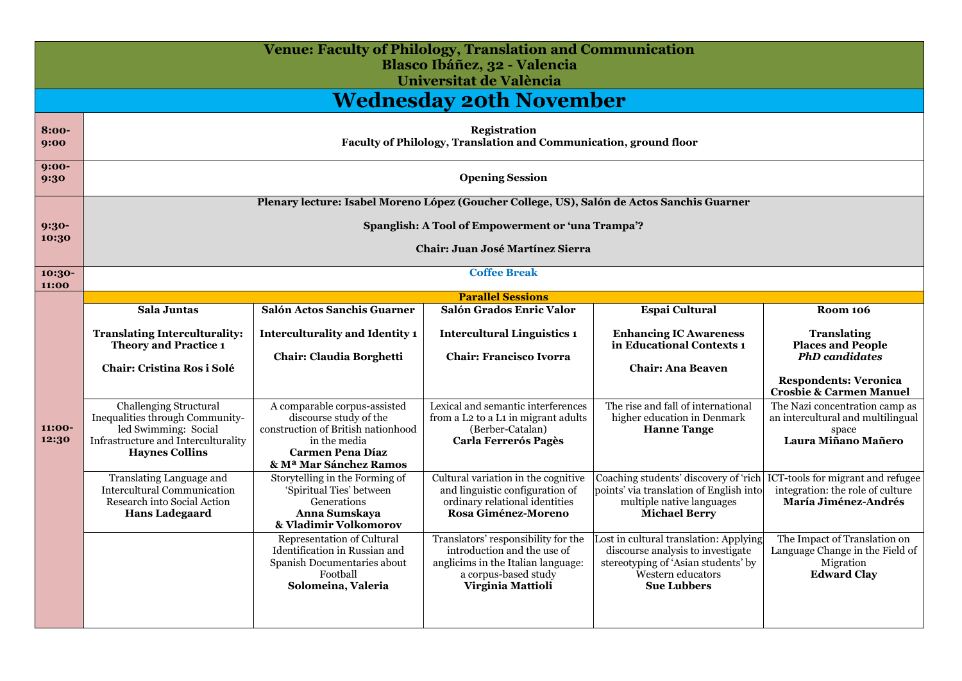|                 | <b>Venue: Faculty of Philology, Translation and Communication</b><br>Blasco Ibáñez, 32 - Valencia<br>Universitat de València                             |                                                                                                                                                                   |                                                                                                                                                       |                                                                                                                                                               |                                                                                                                                    |  |  |
|-----------------|----------------------------------------------------------------------------------------------------------------------------------------------------------|-------------------------------------------------------------------------------------------------------------------------------------------------------------------|-------------------------------------------------------------------------------------------------------------------------------------------------------|---------------------------------------------------------------------------------------------------------------------------------------------------------------|------------------------------------------------------------------------------------------------------------------------------------|--|--|
|                 |                                                                                                                                                          |                                                                                                                                                                   | <b>Wednesday 20th November</b>                                                                                                                        |                                                                                                                                                               |                                                                                                                                    |  |  |
| $8:00-$<br>9:00 | <b>Registration</b><br>Faculty of Philology, Translation and Communication, ground floor                                                                 |                                                                                                                                                                   |                                                                                                                                                       |                                                                                                                                                               |                                                                                                                                    |  |  |
| $9:00-$<br>9:30 | <b>Opening Session</b>                                                                                                                                   |                                                                                                                                                                   |                                                                                                                                                       |                                                                                                                                                               |                                                                                                                                    |  |  |
|                 |                                                                                                                                                          | Plenary lecture: Isabel Moreno López (Goucher College, US), Salón de Actos Sanchis Guarner                                                                        |                                                                                                                                                       |                                                                                                                                                               |                                                                                                                                    |  |  |
| $9:30-$         |                                                                                                                                                          |                                                                                                                                                                   | Spanglish: A Tool of Empowerment or 'una Trampa'?                                                                                                     |                                                                                                                                                               |                                                                                                                                    |  |  |
| 10:30           | Chair: Juan José Martínez Sierra                                                                                                                         |                                                                                                                                                                   |                                                                                                                                                       |                                                                                                                                                               |                                                                                                                                    |  |  |
| 10:30-<br>11:00 |                                                                                                                                                          |                                                                                                                                                                   | <b>Coffee Break</b>                                                                                                                                   |                                                                                                                                                               |                                                                                                                                    |  |  |
|                 |                                                                                                                                                          | <b>Parallel Sessions</b>                                                                                                                                          |                                                                                                                                                       |                                                                                                                                                               |                                                                                                                                    |  |  |
|                 | Sala Juntas                                                                                                                                              | <b>Salón Actos Sanchis Guarner</b>                                                                                                                                | Salón Grados Enric Valor                                                                                                                              | <b>Espai Cultural</b>                                                                                                                                         | <b>Room 106</b>                                                                                                                    |  |  |
|                 | <b>Translating Interculturality:</b><br><b>Theory and Practice 1</b><br><b>Chair: Cristina Ros i Solé</b>                                                | <b>Interculturality and Identity 1</b><br>Chair: Claudia Borghetti                                                                                                | <b>Intercultural Linguistics 1</b><br><b>Chair: Francisco Ivorra</b>                                                                                  | <b>Enhancing IC Awareness</b><br>in Educational Contexts 1<br><b>Chair: Ana Beaven</b>                                                                        | <b>Translating</b><br><b>Places and People</b><br><b>PhD</b> candidates<br><b>Respondents: Veronica</b><br>Crosbie & Carmen Manuel |  |  |
| 11:00-<br>12:30 | <b>Challenging Structural</b><br>Inequalities through Community-<br>led Swimming: Social<br>Infrastructure and Interculturality<br><b>Haynes Collins</b> | A comparable corpus-assisted<br>discourse study of the<br>construction of British nationhood<br>in the media<br><b>Carmen Pena Díaz</b><br>& Mª Mar Sánchez Ramos | Lexical and semantic interferences<br>from a L <sub>2</sub> to a L <sub>1</sub> in migrant adults<br>(Berber-Catalan)<br><b>Carla Ferrerós Pagès</b>  | The rise and fall of international<br>higher education in Denmark<br><b>Hanne Tange</b>                                                                       | The Nazi concentration camp as<br>an intercultural and multilingual<br>space<br>Laura Miñano Mañero                                |  |  |
|                 | Translating Language and<br>Intercultural Communication<br>Research into Social Action<br><b>Hans Ladegaard</b>                                          | Storytelling in the Forming of<br>'Spiritual Ties' between<br>Generations<br>Anna Sumskaya<br>& Vladimir Volkomorov                                               | Cultural variation in the cognitive<br>and linguistic configuration of<br>ordinary relational identities<br>Rosa Giménez-Moreno                       | Coaching students' discovery of 'rich<br>points' via translation of English into<br>multiple native languages<br><b>Michael Berry</b>                         | ICT-tools for migrant and refugee<br>integration: the role of culture<br>María Jiménez-Andrés                                      |  |  |
|                 |                                                                                                                                                          | Representation of Cultural<br>Identification in Russian and<br>Spanish Documentaries about<br>Football<br>Solomeina, Valeria                                      | Translators' responsibility for the<br>introduction and the use of<br>anglicims in the Italian language:<br>a corpus-based study<br>Virginia Mattioli | Lost in cultural translation: Applying<br>discourse analysis to investigate<br>stereotyping of 'Asian students' by<br>Western educators<br><b>Sue Lubbers</b> | The Impact of Translation on<br>Language Change in the Field of<br>Migration<br><b>Edward Clay</b>                                 |  |  |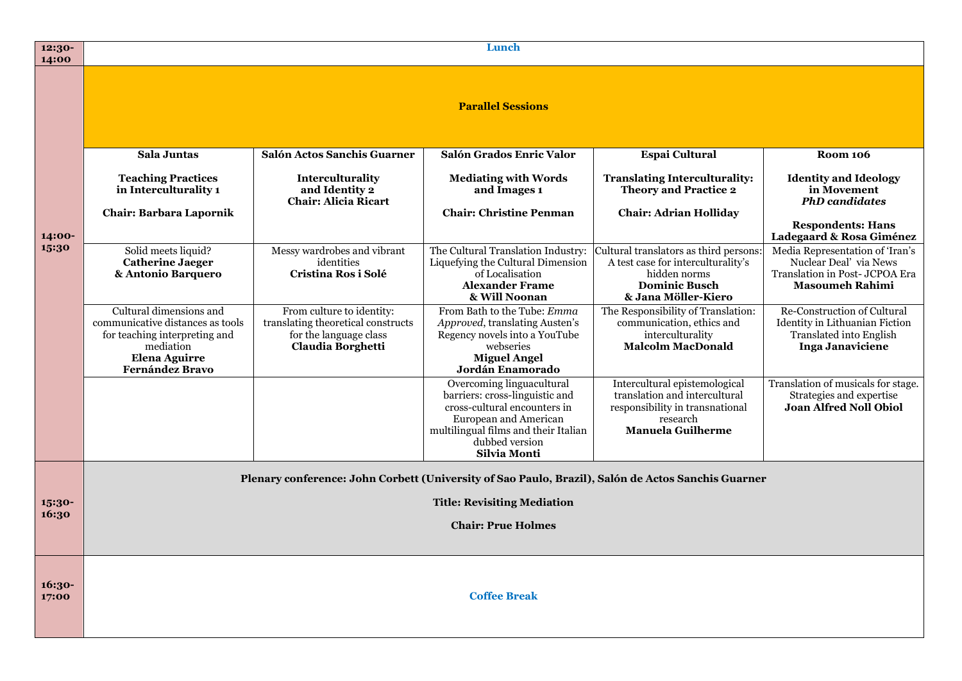| 12:30-<br>14:00 |                                                                                                                                                             | Lunch                                                                                                          |                                                                                                                                                                                                |                                                                                                                                             |                                                                                                                                   |
|-----------------|-------------------------------------------------------------------------------------------------------------------------------------------------------------|----------------------------------------------------------------------------------------------------------------|------------------------------------------------------------------------------------------------------------------------------------------------------------------------------------------------|---------------------------------------------------------------------------------------------------------------------------------------------|-----------------------------------------------------------------------------------------------------------------------------------|
|                 |                                                                                                                                                             |                                                                                                                | <b>Parallel Sessions</b>                                                                                                                                                                       |                                                                                                                                             |                                                                                                                                   |
|                 | <b>Sala Juntas</b>                                                                                                                                          | Salón Actos Sanchis Guarner                                                                                    | Salón Grados Enric Valor                                                                                                                                                                       | Espai Cultural                                                                                                                              | <b>Room 106</b>                                                                                                                   |
|                 | <b>Teaching Practices</b><br>in Interculturality 1<br><b>Chair: Barbara Lapornik</b>                                                                        | Interculturality<br>and Identity 2<br><b>Chair: Alicia Ricart</b>                                              | <b>Mediating with Words</b><br>and Images 1<br><b>Chair: Christine Penman</b>                                                                                                                  | <b>Translating Interculturality:</b><br><b>Theory and Practice 2</b><br><b>Chair: Adrian Holliday</b>                                       | <b>Identity and Ideology</b><br>in Movement<br><b>PhD</b> candidates                                                              |
| 14:00-          |                                                                                                                                                             |                                                                                                                |                                                                                                                                                                                                |                                                                                                                                             | <b>Respondents: Hans</b><br>Ladegaard & Rosa Giménez                                                                              |
| 15:30           | Solid meets liquid?<br><b>Catherine Jaeger</b><br>& Antonio Barquero                                                                                        | Messy wardrobes and vibrant<br>identities<br>Cristina Ros i Solé                                               | The Cultural Translation Industry:<br>Liquefying the Cultural Dimension<br>of Localisation<br><b>Alexander Frame</b><br>& Will Noonan                                                          | Cultural translators as third persons:<br>A test case for interculturality's<br>hidden norms<br><b>Dominic Busch</b><br>& Jana Möller-Kiero | Media Representation of 'Iran's<br>Nuclear Deal' via News<br>Translation in Post- JCPOA Era<br><b>Masoumeh Rahimi</b>             |
|                 | Cultural dimensions and<br>communicative distances as tools<br>for teaching interpreting and<br>mediation<br><b>Elena Aguirre</b><br><b>Fernández Bravo</b> | From culture to identity:<br>translating theoretical constructs<br>for the language class<br>Claudia Borghetti | From Bath to the Tube: Emma<br>Approved, translating Austen's<br>Regency novels into a YouTube<br>webseries<br><b>Miguel Angel</b><br>Jordán Enamorado                                         | The Responsibility of Translation:<br>communication, ethics and<br>interculturality<br><b>Malcolm MacDonald</b>                             | <b>Re-Construction of Cultural</b><br>Identity in Lithuanian Fiction<br><b>Translated into English</b><br><b>Inga Janaviciene</b> |
|                 |                                                                                                                                                             |                                                                                                                | Overcoming linguacultural<br>barriers: cross-linguistic and<br>cross-cultural encounters in<br>European and American<br>multilingual films and their Italian<br>dubbed version<br>Silvia Monti | Intercultural epistemological<br>translation and intercultural<br>responsibility in transnational<br>research<br><b>Manuela Guilherme</b>   | Translation of musicals for stage.<br>Strategies and expertise<br><b>Joan Alfred Noll Obiol</b>                                   |
|                 |                                                                                                                                                             |                                                                                                                |                                                                                                                                                                                                | Plenary conference: John Corbett (University of Sao Paulo, Brazil), Salón de Actos Sanchis Guarner                                          |                                                                                                                                   |
| 15:30-          |                                                                                                                                                             |                                                                                                                | <b>Title: Revisiting Mediation</b>                                                                                                                                                             |                                                                                                                                             |                                                                                                                                   |
| 16:30           |                                                                                                                                                             |                                                                                                                | <b>Chair: Prue Holmes</b>                                                                                                                                                                      |                                                                                                                                             |                                                                                                                                   |
|                 |                                                                                                                                                             |                                                                                                                |                                                                                                                                                                                                |                                                                                                                                             |                                                                                                                                   |
| 16:30-<br>17:00 |                                                                                                                                                             |                                                                                                                | <b>Coffee Break</b>                                                                                                                                                                            |                                                                                                                                             |                                                                                                                                   |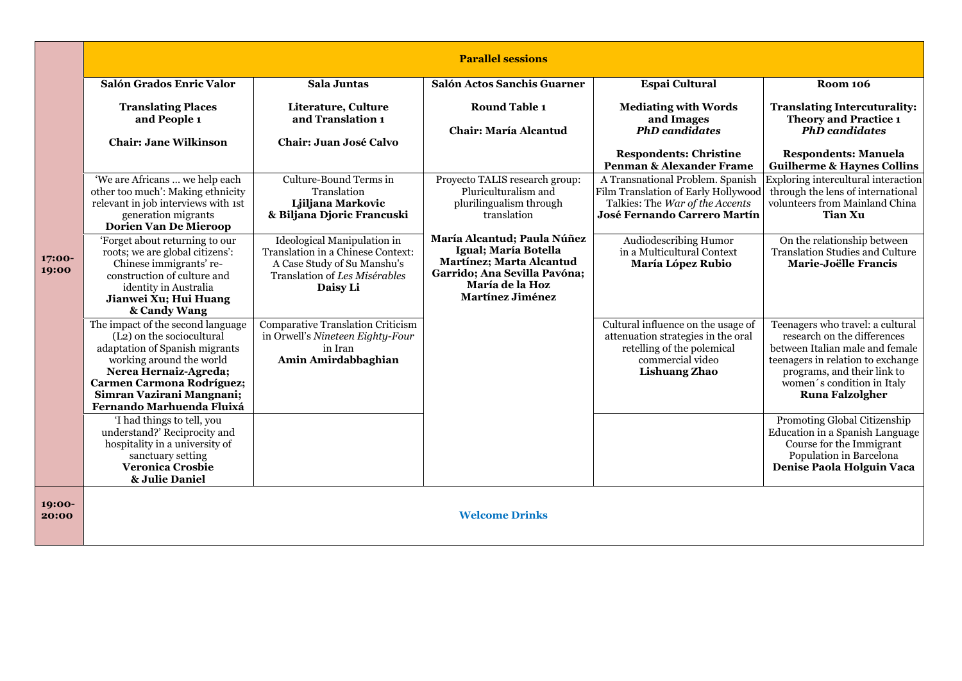|                 | <b>Parallel sessions</b>                                                                                                                                                                                                                                         |                                                                                                                                              |                                                                                                                                                               |                                                                                                                                                    |                                                                                                                                                                                                                                |
|-----------------|------------------------------------------------------------------------------------------------------------------------------------------------------------------------------------------------------------------------------------------------------------------|----------------------------------------------------------------------------------------------------------------------------------------------|---------------------------------------------------------------------------------------------------------------------------------------------------------------|----------------------------------------------------------------------------------------------------------------------------------------------------|--------------------------------------------------------------------------------------------------------------------------------------------------------------------------------------------------------------------------------|
|                 | Salón Grados Enric Valor                                                                                                                                                                                                                                         | Sala Juntas                                                                                                                                  | Salón Actos Sanchis Guarner                                                                                                                                   | Espai Cultural                                                                                                                                     | <b>Room 106</b>                                                                                                                                                                                                                |
|                 | <b>Translating Places</b><br>and People 1                                                                                                                                                                                                                        | Literature, Culture<br>and Translation 1                                                                                                     | <b>Round Table 1</b><br>Chair: María Alcantud                                                                                                                 | <b>Mediating with Words</b><br>and Images<br><b>PhD</b> candidates                                                                                 | <b>Translating Intercuturality:</b><br><b>Theory and Practice 1</b><br><b>PhD</b> candidates                                                                                                                                   |
|                 | <b>Chair: Jane Wilkinson</b>                                                                                                                                                                                                                                     | Chair: Juan José Calvo                                                                                                                       |                                                                                                                                                               |                                                                                                                                                    |                                                                                                                                                                                                                                |
|                 |                                                                                                                                                                                                                                                                  |                                                                                                                                              |                                                                                                                                                               | <b>Respondents: Christine</b><br>Penman & Alexander Frame                                                                                          | <b>Respondents: Manuela</b><br><b>Guilherme &amp; Haynes Collins</b>                                                                                                                                                           |
|                 | 'We are Africans  we help each<br>other too much': Making ethnicity<br>relevant in job interviews with 1st<br>generation migrants<br>Dorien Van De Mieroop                                                                                                       | Culture-Bound Terms in<br>Translation<br>Ljiljana Markovic<br>& Biljana Djoric Francuski                                                     | Proyecto TALIS research group:<br>Pluriculturalism and<br>plurilingualism through<br>translation                                                              | A Transnational Problem. Spanish<br>Film Translation of Early Hollywood<br>Talkies: The War of the Accents<br>José Fernando Carrero Martín         | Exploring intercultural interaction<br>through the lens of international<br>volunteers from Mainland China<br>Tian Xu                                                                                                          |
| 17:00-<br>19:00 | 'Forget about returning to our<br>roots; we are global citizens':<br>Chinese immigrants' re-<br>construction of culture and<br>identity in Australia<br>Jianwei Xu; Hui Huang<br>& Candy Wang                                                                    | Ideological Manipulation in<br>Translation in a Chinese Context:<br>A Case Study of Su Manshu's<br>Translation of Les Misérables<br>Daisy Li | María Alcantud; Paula Núñez<br>Igual; María Botella<br>Martínez; Marta Alcantud<br>Garrido; Ana Sevilla Pavóna;<br>María de la Hoz<br><b>Martínez Jiménez</b> | Audiodescribing Humor<br>in a Multicultural Context<br>María López Rubio                                                                           | On the relationship between<br><b>Translation Studies and Culture</b><br>Marie-Joëlle Francis                                                                                                                                  |
|                 | The impact of the second language<br>(L <sub>2</sub> ) on the sociocultural<br>adaptation of Spanish migrants<br>working around the world<br>Nerea Hernaiz-Agreda;<br><b>Carmen Carmona Rodríguez;</b><br>Simran Vazirani Mangnani;<br>Fernando Marhuenda Fluixá | Comparative Translation Criticism<br>in Orwell's Nineteen Eighty-Four<br>in Iran<br>Amin Amirdabbaghian                                      |                                                                                                                                                               | Cultural influence on the usage of<br>attenuation strategies in the oral<br>retelling of the polemical<br>commercial video<br><b>Lishuang Zhao</b> | Teenagers who travel: a cultural<br>research on the differences<br>between Italian male and female<br>teenagers in relation to exchange<br>programs, and their link to<br>women's condition in Italy<br><b>Runa Falzolgher</b> |
|                 | 'I had things to tell, you<br>understand?' Reciprocity and<br>hospitality in a university of<br>sanctuary setting<br><b>Veronica Crosbie</b><br>& Julie Daniel                                                                                                   |                                                                                                                                              |                                                                                                                                                               |                                                                                                                                                    | Promoting Global Citizenship<br>Education in a Spanish Language<br>Course for the Immigrant<br>Population in Barcelona<br>Denise Paola Holguin Vaca                                                                            |
| 19:00-<br>20:00 | <b>Welcome Drinks</b>                                                                                                                                                                                                                                            |                                                                                                                                              |                                                                                                                                                               |                                                                                                                                                    |                                                                                                                                                                                                                                |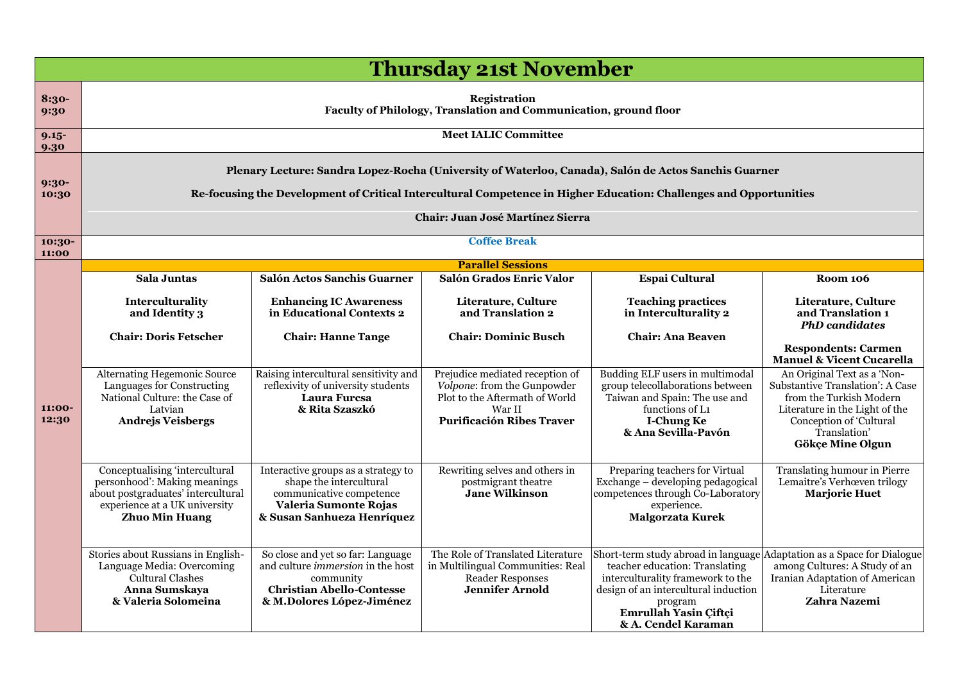|                  | <b>Thursday 21st November</b>                                                                                                                                                                                                                                  |                                                                                                                                                             |                                                                                                                                                |                                                                                                                                                                                                               |                                                                                                                                                                                                                                            |  |
|------------------|----------------------------------------------------------------------------------------------------------------------------------------------------------------------------------------------------------------------------------------------------------------|-------------------------------------------------------------------------------------------------------------------------------------------------------------|------------------------------------------------------------------------------------------------------------------------------------------------|---------------------------------------------------------------------------------------------------------------------------------------------------------------------------------------------------------------|--------------------------------------------------------------------------------------------------------------------------------------------------------------------------------------------------------------------------------------------|--|
| 8:30-<br>9:30    | <b>Registration</b><br>Faculty of Philology, Translation and Communication, ground floor                                                                                                                                                                       |                                                                                                                                                             |                                                                                                                                                |                                                                                                                                                                                                               |                                                                                                                                                                                                                                            |  |
| $9.15 -$<br>9.30 |                                                                                                                                                                                                                                                                | <b>Meet IALIC Committee</b>                                                                                                                                 |                                                                                                                                                |                                                                                                                                                                                                               |                                                                                                                                                                                                                                            |  |
| $9:30-$<br>10:30 | Plenary Lecture: Sandra Lopez-Rocha (University of Waterloo, Canada), Salón de Actos Sanchis Guarner<br>Re-focusing the Development of Critical Intercultural Competence in Higher Education: Challenges and Opportunities<br>Chair: Juan José Martínez Sierra |                                                                                                                                                             |                                                                                                                                                |                                                                                                                                                                                                               |                                                                                                                                                                                                                                            |  |
| 10:30-<br>11:00  |                                                                                                                                                                                                                                                                |                                                                                                                                                             | <b>Coffee Break</b>                                                                                                                            |                                                                                                                                                                                                               |                                                                                                                                                                                                                                            |  |
|                  |                                                                                                                                                                                                                                                                |                                                                                                                                                             | <b>Parallel Sessions</b><br>Salón Grados Enric Valor                                                                                           |                                                                                                                                                                                                               |                                                                                                                                                                                                                                            |  |
|                  | Sala Juntas<br>Interculturality<br>and Identity 3<br><b>Chair: Doris Fetscher</b>                                                                                                                                                                              | Salón Actos Sanchis Guarner<br><b>Enhancing IC Awareness</b><br>in Educational Contexts 2<br><b>Chair: Hanne Tange</b>                                      | Literature, Culture<br>and Translation 2<br><b>Chair: Dominic Busch</b>                                                                        | <b>Espai Cultural</b><br><b>Teaching practices</b><br>in Interculturality 2<br><b>Chair: Ana Beaven</b>                                                                                                       | <b>Room 106</b><br>Literature, Culture<br>and Translation 1<br><b>PhD</b> candidates<br><b>Respondents: Carmen</b>                                                                                                                         |  |
| 11:00-<br>12:30  | <b>Alternating Hegemonic Source</b><br>Languages for Constructing<br>National Culture: the Case of<br>Latvian<br><b>Andrejs Veisbergs</b>                                                                                                                      | Raising intercultural sensitivity and<br>reflexivity of university students<br>Laura Furcsa<br>& Rita Szaszkó                                               | Prejudice mediated reception of<br>Volpone: from the Gunpowder<br>Plot to the Aftermath of World<br>War II<br><b>Purificación Ribes Traver</b> | Budding ELF users in multimodal<br>group telecollaborations between<br>Taiwan and Spain: The use and<br>functions of L1<br><b>I-Chung Ke</b><br>& Ana Sevilla-Pavón                                           | <b>Manuel &amp; Vicent Cucarella</b><br>An Original Text as a 'Non-<br>Substantive Translation': A Case<br>from the Turkish Modern<br>Literature in the Light of the<br>Conception of 'Cultural<br>Translation'<br><b>Gökçe Mine Olgun</b> |  |
|                  | Conceptualising 'intercultural<br>personhood': Making meanings<br>about postgraduates' intercultural<br>experience at a UK university<br><b>Zhuo Min Huang</b>                                                                                                 | Interactive groups as a strategy to<br>shape the intercultural<br>communicative competence<br>Valeria Sumonte Rojas<br>& Susan Sanhueza Henríquez           | Rewriting selves and others in<br>postmigrant theatre<br>Jane Wilkinson                                                                        | Preparing teachers for Virtual<br>Exchange – developing pedagogical<br>competences through Co-Laboratory<br>experience.<br>Malgorzata Kurek                                                                   | Translating humour in Pierre<br>Lemaitre's Verhœven trilogy<br><b>Marjorie Huet</b>                                                                                                                                                        |  |
|                  | Stories about Russians in English-<br>Language Media: Overcoming<br><b>Cultural Clashes</b><br>Anna Sumskaya<br>& Valeria Solomeina                                                                                                                            | So close and yet so far: Language<br>and culture <i>immersion</i> in the host<br>community<br><b>Christian Abello-Contesse</b><br>& M.Dolores López-Jiménez | The Role of Translated Literature<br>in Multilingual Communities: Real<br><b>Reader Responses</b><br><b>Jennifer Arnold</b>                    | Short-term study abroad in language<br>teacher education: Translating<br>interculturality framework to the<br>design of an intercultural induction<br>program<br>Emrullah Yasin Çiftçi<br>& A. Cendel Karaman | Adaptation as a Space for Dialogue<br>among Cultures: A Study of an<br>Iranian Adaptation of American<br>Literature<br>Zahra Nazemi                                                                                                        |  |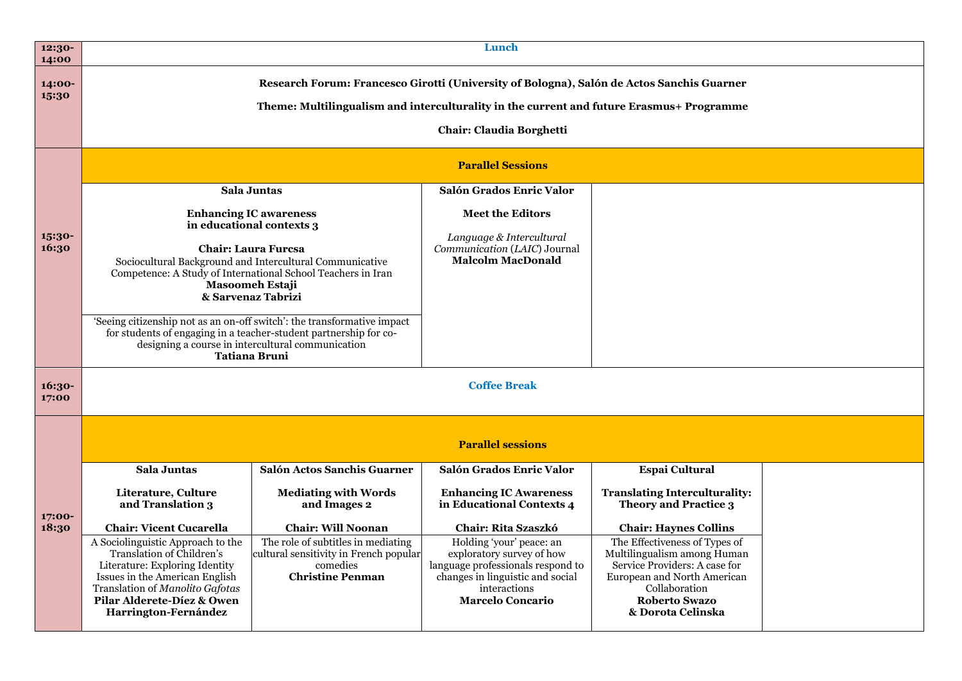| 12:30-<br>14:00 |                                                                                                                                                                                                                                                                                                                                                                                                                                                                                            |                                                                                                                     | Lunch                                                                                                                                                                                                             |                                                                                                                                                                                            |  |
|-----------------|--------------------------------------------------------------------------------------------------------------------------------------------------------------------------------------------------------------------------------------------------------------------------------------------------------------------------------------------------------------------------------------------------------------------------------------------------------------------------------------------|---------------------------------------------------------------------------------------------------------------------|-------------------------------------------------------------------------------------------------------------------------------------------------------------------------------------------------------------------|--------------------------------------------------------------------------------------------------------------------------------------------------------------------------------------------|--|
| 14:00-<br>15:30 |                                                                                                                                                                                                                                                                                                                                                                                                                                                                                            |                                                                                                                     | Research Forum: Francesco Girotti (University of Bologna), Salón de Actos Sanchis Guarner<br>Theme: Multilingualism and interculturality in the current and future Erasmus+ Programme<br>Chair: Claudia Borghetti |                                                                                                                                                                                            |  |
|                 | <b>Parallel Sessions</b>                                                                                                                                                                                                                                                                                                                                                                                                                                                                   |                                                                                                                     |                                                                                                                                                                                                                   |                                                                                                                                                                                            |  |
|                 | <b>Sala Juntas</b>                                                                                                                                                                                                                                                                                                                                                                                                                                                                         |                                                                                                                     | Salón Grados Enric Valor                                                                                                                                                                                          |                                                                                                                                                                                            |  |
| 15:30-<br>16:30 | <b>Enhancing IC awareness</b><br>in educational contexts 3<br><b>Chair: Laura Furcsa</b><br>Sociocultural Background and Intercultural Communicative<br>Competence: A Study of International School Teachers in Iran<br>Masoomeh Estaji<br>& Sarvenaz Tabrizi<br>'Seeing citizenship not as an on-off switch': the transformative impact<br>for students of engaging in a teacher-student partnership for co-<br>designing a course in intercultural communication<br><b>Tatiana Bruni</b> |                                                                                                                     | <b>Meet the Editors</b><br>Language & Intercultural<br>Communication (LAIC) Journal<br><b>Malcolm MacDonald</b>                                                                                                   |                                                                                                                                                                                            |  |
| 16:30-<br>17:00 | <b>Coffee Break</b>                                                                                                                                                                                                                                                                                                                                                                                                                                                                        |                                                                                                                     |                                                                                                                                                                                                                   |                                                                                                                                                                                            |  |
|                 |                                                                                                                                                                                                                                                                                                                                                                                                                                                                                            |                                                                                                                     | <b>Parallel sessions</b>                                                                                                                                                                                          |                                                                                                                                                                                            |  |
|                 | Sala Juntas                                                                                                                                                                                                                                                                                                                                                                                                                                                                                | Salón Actos Sanchis Guarner                                                                                         | Salón Grados Enric Valor                                                                                                                                                                                          | <b>Espai Cultural</b>                                                                                                                                                                      |  |
| 17:00-          | Literature, Culture<br>and Translation 3                                                                                                                                                                                                                                                                                                                                                                                                                                                   | <b>Mediating with Words</b><br>and Images 2                                                                         | <b>Enhancing IC Awareness</b><br>in Educational Contexts 4                                                                                                                                                        | <b>Translating Interculturality:</b><br><b>Theory and Practice 3</b>                                                                                                                       |  |
| 18:30           | <b>Chair: Vicent Cucarella</b>                                                                                                                                                                                                                                                                                                                                                                                                                                                             | <b>Chair: Will Noonan</b>                                                                                           | <b>Chair: Rita Szaszkó</b>                                                                                                                                                                                        | <b>Chair: Haynes Collins</b>                                                                                                                                                               |  |
|                 | A Sociolinguistic Approach to the<br>Translation of Children's<br>Literature: Exploring Identity<br>Issues in the American English<br>Translation of Manolito Gafotas<br>Pilar Alderete-Díez & Owen<br>Harrington-Fernández                                                                                                                                                                                                                                                                | The role of subtitles in mediating<br>cultural sensitivity in French popular<br>comedies<br><b>Christine Penman</b> | Holding 'your' peace: an<br>exploratory survey of how<br>language professionals respond to<br>changes in linguistic and social<br>interactions<br><b>Marcelo Concario</b>                                         | The Effectiveness of Types of<br>Multilingualism among Human<br>Service Providers: A case for<br>European and North American<br>Collaboration<br><b>Roberto Swazo</b><br>& Dorota Celinska |  |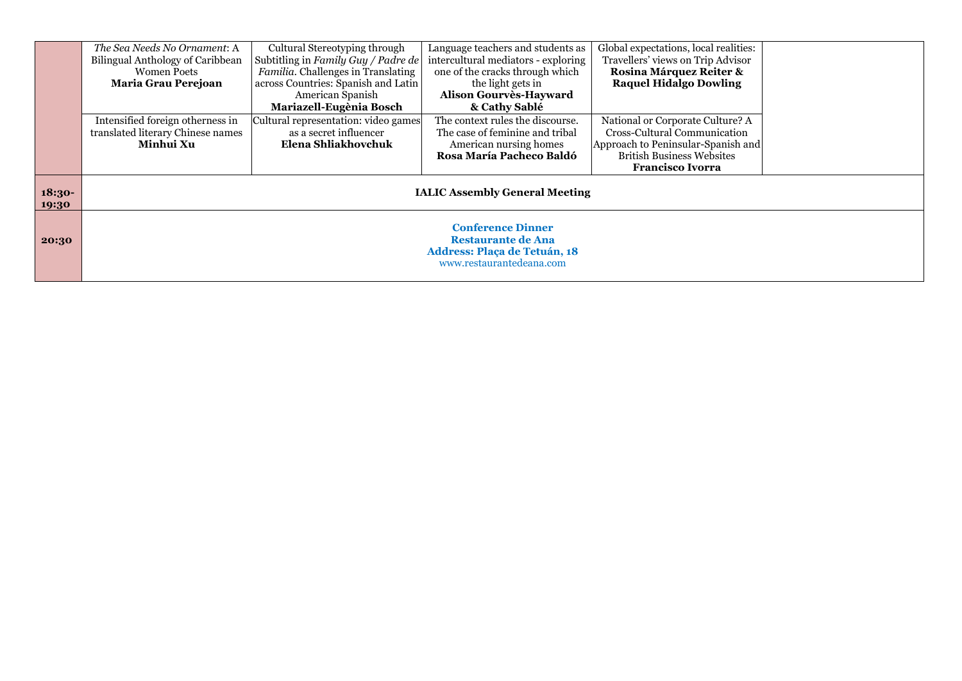|                   | The Sea Needs No Ornament: A<br>Bilingual Anthology of Caribbean<br><b>Women Poets</b><br>Maria Grau Perejoan            | Cultural Stereotyping through<br>Subtitling in Family Guy / Padre de<br>Familia. Challenges in Translating<br>across Countries: Spanish and Latin<br>American Spanish<br>Mariazell-Eugènia Bosch | Language teachers and students as<br>intercultural mediators - exploring<br>one of the cracks through which<br>the light gets in<br>Alison Gourvès-Hayward<br>& Cathy Sablé | Global expectations, local realities:<br>Travellers' views on Trip Advisor<br>Rosina Márquez Reiter &<br><b>Raquel Hidalgo Dowling</b>                                |  |
|-------------------|--------------------------------------------------------------------------------------------------------------------------|--------------------------------------------------------------------------------------------------------------------------------------------------------------------------------------------------|-----------------------------------------------------------------------------------------------------------------------------------------------------------------------------|-----------------------------------------------------------------------------------------------------------------------------------------------------------------------|--|
|                   | Intensified foreign otherness in<br>translated literary Chinese names<br>Minhui Xu                                       | Cultural representation: video games<br>as a secret influencer<br>Elena Shliakhovchuk                                                                                                            | The context rules the discourse.<br>The case of feminine and tribal<br>American nursing homes<br>Rosa María Pacheco Baldó                                                   | National or Corporate Culture? A<br>Cross-Cultural Communication<br>Approach to Peninsular-Spanish and<br><b>British Business Websites</b><br><b>Francisco Ivorra</b> |  |
| $18:30-$<br>19:30 | <b>IALIC Assembly General Meeting</b>                                                                                    |                                                                                                                                                                                                  |                                                                                                                                                                             |                                                                                                                                                                       |  |
| 20:30             | <b>Conference Dinner</b><br><b>Restaurante de Ana</b><br><b>Address: Plaça de Tetuán, 18</b><br>www.restaurantedeana.com |                                                                                                                                                                                                  |                                                                                                                                                                             |                                                                                                                                                                       |  |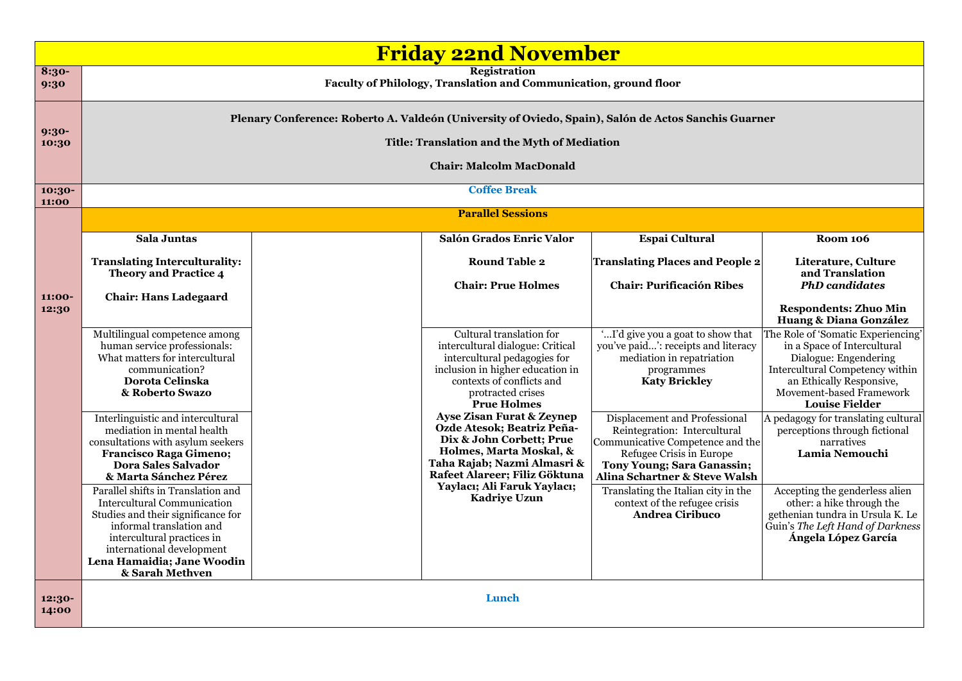|                  | <b>Friday 22nd November</b>                                                                                                                                                                                                                                                                                                                                                                                                                                                                                                                                      |                                                                                                                                                                                                                                                                                                                                                                                                                                                             |                                                                                                                                                                                                                                                                                                                                                                                                                                               |                                                                                                                                                                                                                                                                                                                                                                                                                                                                                                                                                |  |
|------------------|------------------------------------------------------------------------------------------------------------------------------------------------------------------------------------------------------------------------------------------------------------------------------------------------------------------------------------------------------------------------------------------------------------------------------------------------------------------------------------------------------------------------------------------------------------------|-------------------------------------------------------------------------------------------------------------------------------------------------------------------------------------------------------------------------------------------------------------------------------------------------------------------------------------------------------------------------------------------------------------------------------------------------------------|-----------------------------------------------------------------------------------------------------------------------------------------------------------------------------------------------------------------------------------------------------------------------------------------------------------------------------------------------------------------------------------------------------------------------------------------------|------------------------------------------------------------------------------------------------------------------------------------------------------------------------------------------------------------------------------------------------------------------------------------------------------------------------------------------------------------------------------------------------------------------------------------------------------------------------------------------------------------------------------------------------|--|
| 8:30-<br>9:30    |                                                                                                                                                                                                                                                                                                                                                                                                                                                                                                                                                                  | <b>Registration</b><br>Faculty of Philology, Translation and Communication, ground floor                                                                                                                                                                                                                                                                                                                                                                    |                                                                                                                                                                                                                                                                                                                                                                                                                                               |                                                                                                                                                                                                                                                                                                                                                                                                                                                                                                                                                |  |
| $9:30-$<br>10:30 | Plenary Conference: Roberto A. Valdeón (University of Oviedo, Spain), Salón de Actos Sanchis Guarner<br>Title: Translation and the Myth of Mediation<br><b>Chair: Malcolm MacDonald</b>                                                                                                                                                                                                                                                                                                                                                                          |                                                                                                                                                                                                                                                                                                                                                                                                                                                             |                                                                                                                                                                                                                                                                                                                                                                                                                                               |                                                                                                                                                                                                                                                                                                                                                                                                                                                                                                                                                |  |
| 10:30-<br>11:00  |                                                                                                                                                                                                                                                                                                                                                                                                                                                                                                                                                                  | <b>Coffee Break</b>                                                                                                                                                                                                                                                                                                                                                                                                                                         |                                                                                                                                                                                                                                                                                                                                                                                                                                               |                                                                                                                                                                                                                                                                                                                                                                                                                                                                                                                                                |  |
|                  |                                                                                                                                                                                                                                                                                                                                                                                                                                                                                                                                                                  | <b>Parallel Sessions</b>                                                                                                                                                                                                                                                                                                                                                                                                                                    |                                                                                                                                                                                                                                                                                                                                                                                                                                               |                                                                                                                                                                                                                                                                                                                                                                                                                                                                                                                                                |  |
|                  | Sala Juntas                                                                                                                                                                                                                                                                                                                                                                                                                                                                                                                                                      | Salón Grados Enric Valor                                                                                                                                                                                                                                                                                                                                                                                                                                    | <b>Espai Cultural</b>                                                                                                                                                                                                                                                                                                                                                                                                                         | <b>Room 106</b>                                                                                                                                                                                                                                                                                                                                                                                                                                                                                                                                |  |
| 11:00-           | <b>Translating Interculturality:</b><br><b>Theory and Practice 4</b><br><b>Chair: Hans Ladegaard</b>                                                                                                                                                                                                                                                                                                                                                                                                                                                             | <b>Round Table 2</b><br><b>Chair: Prue Holmes</b>                                                                                                                                                                                                                                                                                                                                                                                                           | <b>Translating Places and People 2</b><br><b>Chair: Purificación Ribes</b>                                                                                                                                                                                                                                                                                                                                                                    | Literature, Culture<br>and Translation<br><b>PhD</b> candidates                                                                                                                                                                                                                                                                                                                                                                                                                                                                                |  |
| 12:30            | Multilingual competence among<br>human service professionals:<br>What matters for intercultural<br>communication?<br>Dorota Celinska<br>& Roberto Swazo<br>Interlinguistic and intercultural<br>mediation in mental health<br>consultations with asylum seekers<br><b>Francisco Raga Gimeno;</b><br><b>Dora Sales Salvador</b><br>& Marta Sánchez Pérez<br>Parallel shifts in Translation and<br><b>Intercultural Communication</b><br>Studies and their significance for<br>informal translation and<br>intercultural practices in<br>international development | Cultural translation for<br>intercultural dialogue: Critical<br>intercultural pedagogies for<br>inclusion in higher education in<br>contexts of conflicts and<br>protracted crises<br><b>Prue Holmes</b><br><b>Ayse Zisan Furat &amp; Zeynep</b><br>Ozde Atesok; Beatriz Peña-<br>Dix & John Corbett; Prue<br>Holmes, Marta Moskal, &<br>Taha Rajab; Nazmi Almasri &<br>Rafeet Alareer; Filiz Göktuna<br>Yaylacı; Ali Faruk Yaylacı;<br><b>Kadriye Uzun</b> | 'I'd give you a goat to show that<br>you've paid': receipts and literacy<br>mediation in repatriation<br>programmes<br><b>Katy Brickley</b><br>Displacement and Professional<br>Reintegration: Intercultural<br>Communicative Competence and the<br>Refugee Crisis in Europe<br>Tony Young; Sara Ganassin;<br>Alina Schartner & Steve Walsh<br>Translating the Italian city in the<br>context of the refugee crisis<br><b>Andrea Ciribuco</b> | <b>Respondents: Zhuo Min</b><br>Huang & Diana González<br>The Role of 'Somatic Experiencing'<br>in a Space of Intercultural<br>Dialogue: Engendering<br>Intercultural Competency within<br>an Ethically Responsive,<br>Movement-based Framework<br><b>Louise Fielder</b><br>A pedagogy for translating cultural<br>perceptions through fictional<br>narratives<br>Lamia Nemouchi<br>Accepting the genderless alien<br>other: a hike through the<br>gethenian tundra in Ursula K. Le<br>Guin's The Left Hand of Darkness<br>Ángela López García |  |
| 12:30-<br>14:00  | Lena Hamaidia; Jane Woodin<br>& Sarah Methven                                                                                                                                                                                                                                                                                                                                                                                                                                                                                                                    | Lunch                                                                                                                                                                                                                                                                                                                                                                                                                                                       |                                                                                                                                                                                                                                                                                                                                                                                                                                               |                                                                                                                                                                                                                                                                                                                                                                                                                                                                                                                                                |  |